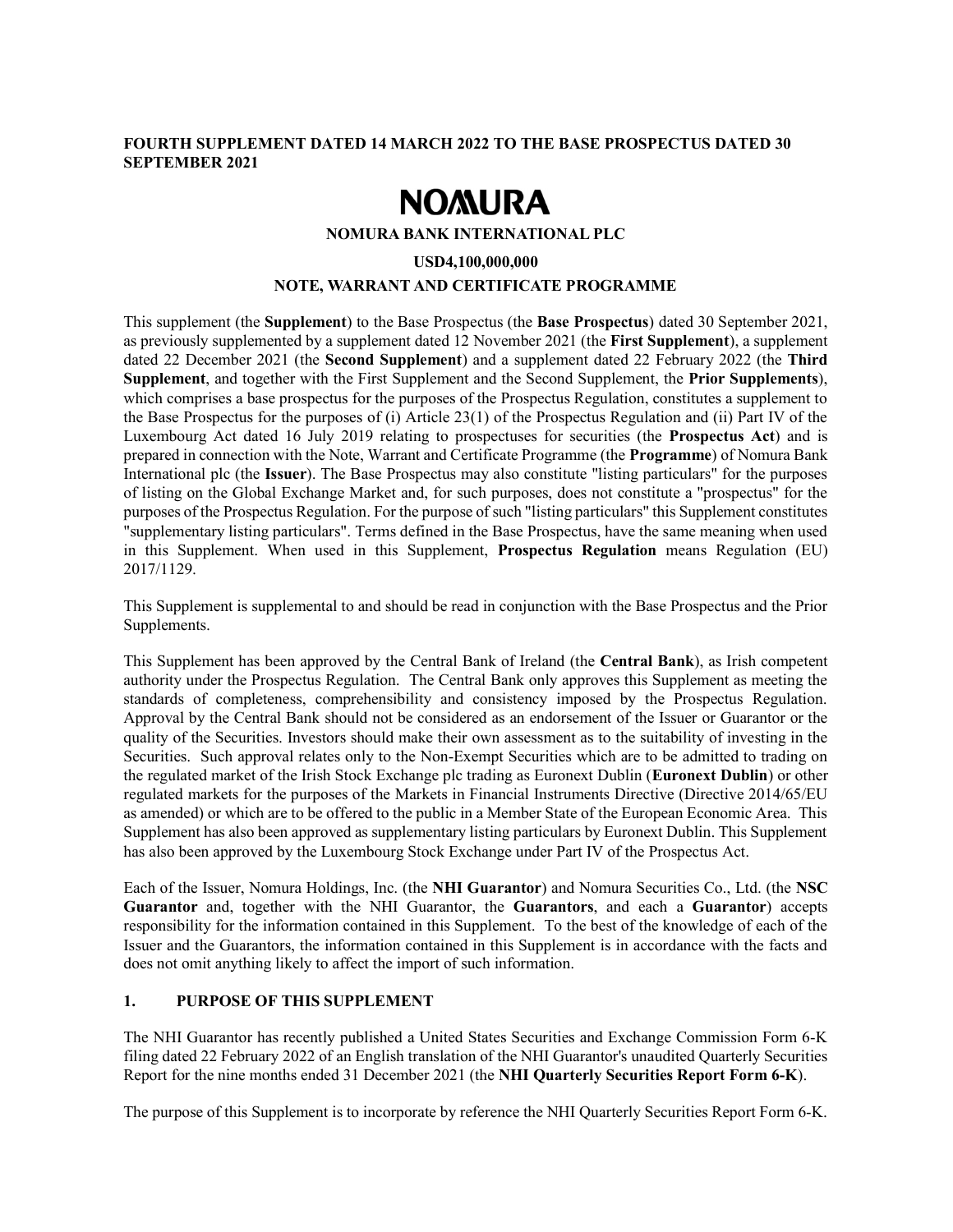## FOURTH SUPPLEMENT DATED 14 MARCH 2022 TO THE BASE PROSPECTUS DATED 30 SEPTEMBER 2021

# **NOMURA**

#### NOMURA BANK INTERNATIONAL PLC

#### USD4,100,000,000

#### NOTE, WARRANT AND CERTIFICATE PROGRAMME

This supplement (the Supplement) to the Base Prospectus (the Base Prospectus) dated 30 September 2021, as previously supplemented by a supplement dated 12 November 2021 (the First Supplement), a supplement dated 22 December 2021 (the Second Supplement) and a supplement dated 22 February 2022 (the Third Supplement, and together with the First Supplement and the Second Supplement, the Prior Supplements), which comprises a base prospectus for the purposes of the Prospectus Regulation, constitutes a supplement to the Base Prospectus for the purposes of (i) Article 23(1) of the Prospectus Regulation and (ii) Part IV of the Luxembourg Act dated 16 July 2019 relating to prospectuses for securities (the Prospectus Act) and is prepared in connection with the Note, Warrant and Certificate Programme (the Programme) of Nomura Bank International plc (the Issuer). The Base Prospectus may also constitute "listing particulars" for the purposes of listing on the Global Exchange Market and, for such purposes, does not constitute a "prospectus" for the purposes of the Prospectus Regulation. For the purpose of such "listing particulars" this Supplement constitutes "supplementary listing particulars". Terms defined in the Base Prospectus, have the same meaning when used in this Supplement. When used in this Supplement, Prospectus Regulation means Regulation (EU) 2017/1129.

This Supplement is supplemental to and should be read in conjunction with the Base Prospectus and the Prior Supplements.

This Supplement has been approved by the Central Bank of Ireland (the Central Bank), as Irish competent authority under the Prospectus Regulation. The Central Bank only approves this Supplement as meeting the standards of completeness, comprehensibility and consistency imposed by the Prospectus Regulation. Approval by the Central Bank should not be considered as an endorsement of the Issuer or Guarantor or the quality of the Securities. Investors should make their own assessment as to the suitability of investing in the Securities. Such approval relates only to the Non-Exempt Securities which are to be admitted to trading on the regulated market of the Irish Stock Exchange plc trading as Euronext Dublin (Euronext Dublin) or other regulated markets for the purposes of the Markets in Financial Instruments Directive (Directive 2014/65/EU as amended) or which are to be offered to the public in a Member State of the European Economic Area. This Supplement has also been approved as supplementary listing particulars by Euronext Dublin. This Supplement has also been approved by the Luxembourg Stock Exchange under Part IV of the Prospectus Act.

Each of the Issuer, Nomura Holdings, Inc. (the NHI Guarantor) and Nomura Securities Co., Ltd. (the NSC Guarantor and, together with the NHI Guarantor, the Guarantors, and each a Guarantor) accepts responsibility for the information contained in this Supplement. To the best of the knowledge of each of the Issuer and the Guarantors, the information contained in this Supplement is in accordance with the facts and does not omit anything likely to affect the import of such information.

# 1. PURPOSE OF THIS SUPPLEMENT

The NHI Guarantor has recently published a United States Securities and Exchange Commission Form 6-K filing dated 22 February 2022 of an English translation of the NHI Guarantor's unaudited Quarterly Securities Report for the nine months ended 31 December 2021 (the NHI Quarterly Securities Report Form 6-K).

The purpose of this Supplement is to incorporate by reference the NHI Quarterly Securities Report Form 6-K.